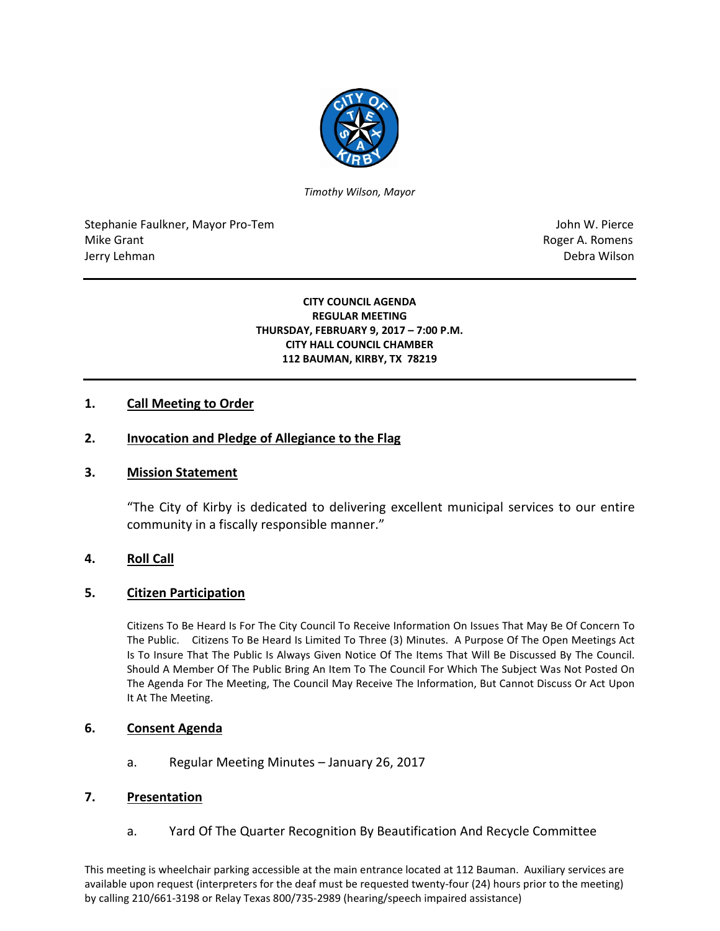

*Timothy Wilson, Mayor*

Stephanie Faulkner, Mayor Pro-Tem John W. Pierce Mike Grant **Mike Grant** Roger A. Romens **Contract A. Romens Contract A. Romens Contract A. Romens** Jerry Lehman Debra Wilson (2008) and the state of the state of the state of the state of the state of the state of the state of the state of the state of the state of the state of the state of the state of the state of the

#### **CITY COUNCIL AGENDA REGULAR MEETING THURSDAY, FEBRUARY 9, 2017 – 7:00 P.M. CITY HALL COUNCIL CHAMBER 112 BAUMAN, KIRBY, TX 78219**

# **1. Call Meeting to Order**

## **2. Invocation and Pledge of Allegiance to the Flag**

### **3. Mission Statement**

"The City of Kirby is dedicated to delivering excellent municipal services to our entire community in a fiscally responsible manner."

### **4. Roll Call**

### **5. Citizen Participation**

Citizens To Be Heard Is For The City Council To Receive Information On Issues That May Be Of Concern To The Public. Citizens To Be Heard Is Limited To Three (3) Minutes. A Purpose Of The Open Meetings Act Is To Insure That The Public Is Always Given Notice Of The Items That Will Be Discussed By The Council. Should A Member Of The Public Bring An Item To The Council For Which The Subject Was Not Posted On The Agenda For The Meeting, The Council May Receive The Information, But Cannot Discuss Or Act Upon It At The Meeting.

### **6. Consent Agenda**

a. Regular Meeting Minutes – January 26, 2017

### **7. Presentation**

a. Yard Of The Quarter Recognition By Beautification And Recycle Committee

This meeting is wheelchair parking accessible at the main entrance located at 112 Bauman. Auxiliary services are available upon request (interpreters for the deaf must be requested twenty-four (24) hours prior to the meeting) by calling 210/661-3198 or Relay Texas 800/735-2989 (hearing/speech impaired assistance)